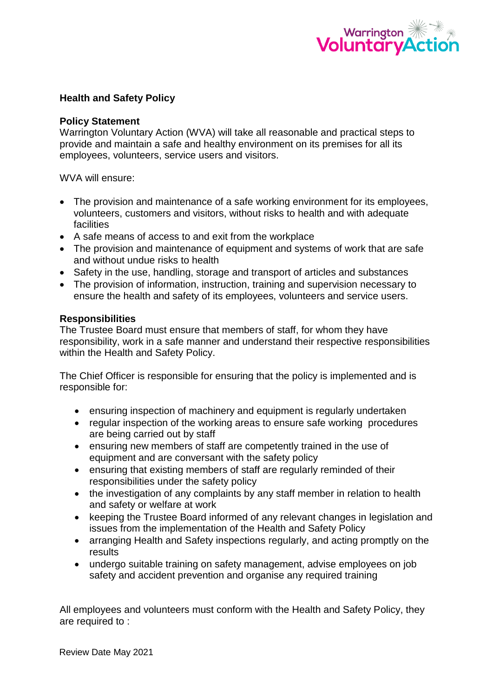

### **Health and Safety Policy**

### **Policy Statement**

Warrington Voluntary Action (WVA) will take all reasonable and practical steps to provide and maintain a safe and healthy environment on its premises for all its employees, volunteers, service users and visitors.

WVA will ensure:

- The provision and maintenance of a safe working environment for its employees, volunteers, customers and visitors, without risks to health and with adequate facilities
- A safe means of access to and exit from the workplace
- The provision and maintenance of equipment and systems of work that are safe and without undue risks to health
- Safety in the use, handling, storage and transport of articles and substances
- The provision of information, instruction, training and supervision necessary to ensure the health and safety of its employees, volunteers and service users.

#### **Responsibilities**

The Trustee Board must ensure that members of staff, for whom they have responsibility, work in a safe manner and understand their respective responsibilities within the Health and Safety Policy.

The Chief Officer is responsible for ensuring that the policy is implemented and is responsible for:

- ensuring inspection of machinery and equipment is regularly undertaken
- regular inspection of the working areas to ensure safe working procedures are being carried out by staff
- ensuring new members of staff are competently trained in the use of equipment and are conversant with the safety policy
- ensuring that existing members of staff are regularly reminded of their responsibilities under the safety policy
- the investigation of any complaints by any staff member in relation to health and safety or welfare at work
- keeping the Trustee Board informed of any relevant changes in legislation and issues from the implementation of the Health and Safety Policy
- arranging Health and Safety inspections regularly, and acting promptly on the results
- undergo suitable training on safety management, advise employees on job safety and accident prevention and organise any required training

All employees and volunteers must conform with the Health and Safety Policy, they are required to :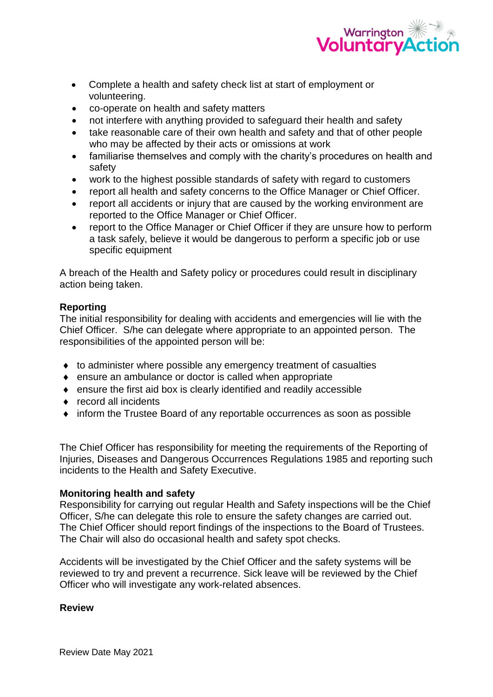

- Complete a health and safety check list at start of employment or volunteering.
- co-operate on health and safety matters
- not interfere with anything provided to safeguard their health and safety
- take reasonable care of their own health and safety and that of other people who may be affected by their acts or omissions at work
- familiarise themselves and comply with the charity's procedures on health and safety
- work to the highest possible standards of safety with regard to customers
- report all health and safety concerns to the Office Manager or Chief Officer.
- report all accidents or injury that are caused by the working environment are reported to the Office Manager or Chief Officer.
- report to the Office Manager or Chief Officer if they are unsure how to perform a task safely, believe it would be dangerous to perform a specific job or use specific equipment

A breach of the Health and Safety policy or procedures could result in disciplinary action being taken.

# **Reporting**

The initial responsibility for dealing with accidents and emergencies will lie with the Chief Officer. S/he can delegate where appropriate to an appointed person. The responsibilities of the appointed person will be:

- $\bullet$  to administer where possible any emergency treatment of casualties
- ensure an ambulance or doctor is called when appropriate
- ensure the first aid box is clearly identified and readily accessible
- ◆ record all incidents
- inform the Trustee Board of any reportable occurrences as soon as possible

The Chief Officer has responsibility for meeting the requirements of the Reporting of Injuries, Diseases and Dangerous Occurrences Regulations 1985 and reporting such incidents to the Health and Safety Executive.

# **Monitoring health and safety**

Responsibility for carrying out regular Health and Safety inspections will be the Chief Officer, S/he can delegate this role to ensure the safety changes are carried out. The Chief Officer should report findings of the inspections to the Board of Trustees. The Chair will also do occasional health and safety spot checks.

Accidents will be investigated by the Chief Officer and the safety systems will be reviewed to try and prevent a recurrence. Sick leave will be reviewed by the Chief Officer who will investigate any work-related absences.

**Review**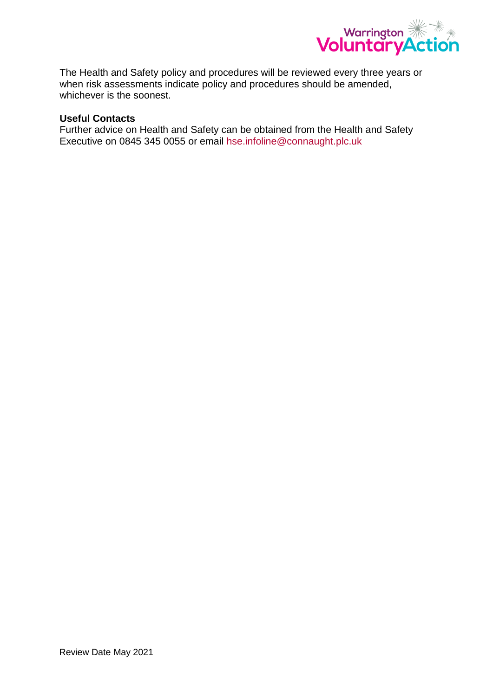

The Health and Safety policy and procedures will be reviewed every three years or when risk assessments indicate policy and procedures should be amended, whichever is the soonest.

# **Useful Contacts**

Further advice on Health and Safety can be obtained from the Health and Safety Executive on 0845 345 0055 or email [hse.infoline@connaught.plc.uk](mailto:hse.infoline@connaught.plc.uk)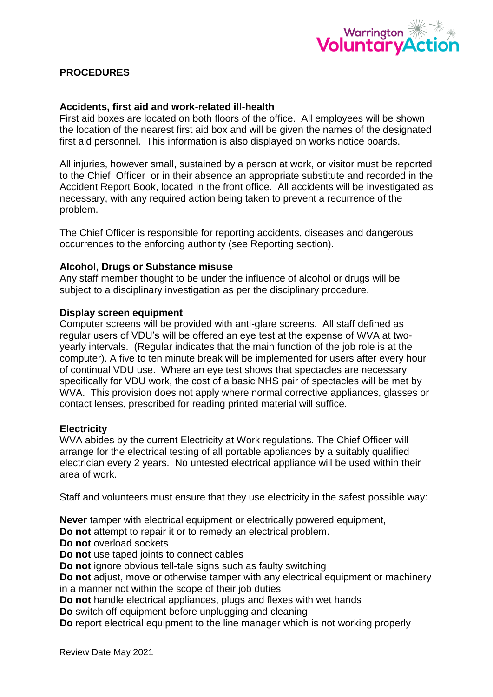

# **PROCEDURES**

### **Accidents, first aid and work-related ill-health**

First aid boxes are located on both floors of the office. All employees will be shown the location of the nearest first aid box and will be given the names of the designated first aid personnel. This information is also displayed on works notice boards.

All injuries, however small, sustained by a person at work, or visitor must be reported to the Chief Officer or in their absence an appropriate substitute and recorded in the Accident Report Book, located in the front office. All accidents will be investigated as necessary, with any required action being taken to prevent a recurrence of the problem.

The Chief Officer is responsible for reporting accidents, diseases and dangerous occurrences to the enforcing authority (see Reporting section).

### **Alcohol, Drugs or Substance misuse**

Any staff member thought to be under the influence of alcohol or drugs will be subject to a disciplinary investigation as per the disciplinary procedure.

#### **Display screen equipment**

Computer screens will be provided with anti-glare screens. All staff defined as regular users of VDU's will be offered an eye test at the expense of WVA at twoyearly intervals. (Regular indicates that the main function of the job role is at the computer). A five to ten minute break will be implemented for users after every hour of continual VDU use. Where an eye test shows that spectacles are necessary specifically for VDU work, the cost of a basic NHS pair of spectacles will be met by WVA. This provision does not apply where normal corrective appliances, glasses or contact lenses, prescribed for reading printed material will suffice.

### **Electricity**

WVA abides by the current Electricity at Work regulations. The Chief Officer will arrange for the electrical testing of all portable appliances by a suitably qualified electrician every 2 years. No untested electrical appliance will be used within their area of work.

Staff and volunteers must ensure that they use electricity in the safest possible way:

**Never** tamper with electrical equipment or electrically powered equipment,

**Do not** attempt to repair it or to remedy an electrical problem.

**Do not** overload sockets

**Do not** use taped joints to connect cables

**Do not** ignore obvious tell-tale signs such as faulty switching

**Do not** adjust, move or otherwise tamper with any electrical equipment or machinery in a manner not within the scope of their job duties

**Do not** handle electrical appliances, plugs and flexes with wet hands

**Do** switch off equipment before unplugging and cleaning

**Do** report electrical equipment to the line manager which is not working properly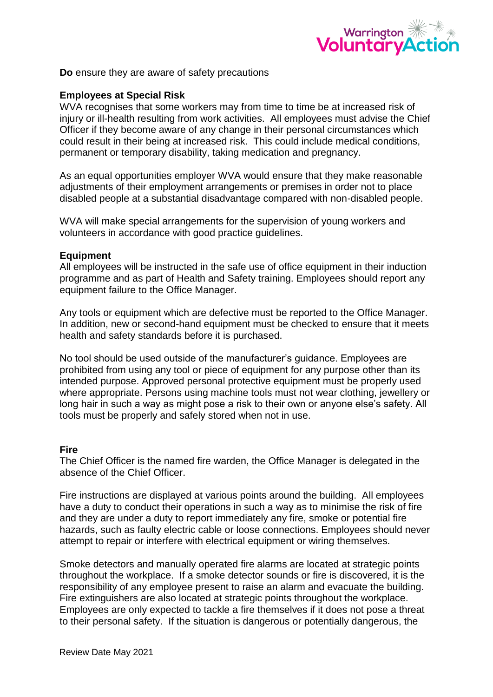

**Do** ensure they are aware of safety precautions

### **Employees at Special Risk**

WVA recognises that some workers may from time to time be at increased risk of injury or ill-health resulting from work activities. All employees must advise the Chief Officer if they become aware of any change in their personal circumstances which could result in their being at increased risk. This could include medical conditions, permanent or temporary disability, taking medication and pregnancy.

As an equal opportunities employer WVA would ensure that they make reasonable adjustments of their employment arrangements or premises in order not to place disabled people at a substantial disadvantage compared with non-disabled people.

WVA will make special arrangements for the supervision of young workers and volunteers in accordance with good practice guidelines.

#### **Equipment**

All employees will be instructed in the safe use of office equipment in their induction programme and as part of Health and Safety training. Employees should report any equipment failure to the Office Manager.

Any tools or equipment which are defective must be reported to the Office Manager. In addition, new or second-hand equipment must be checked to ensure that it meets health and safety standards before it is purchased.

No tool should be used outside of the manufacturer's guidance. Employees are prohibited from using any tool or piece of equipment for any purpose other than its intended purpose. Approved personal protective equipment must be properly used where appropriate. Persons using machine tools must not wear clothing, jewellery or long hair in such a way as might pose a risk to their own or anyone else's safety. All tools must be properly and safely stored when not in use.

### **Fire**

The Chief Officer is the named fire warden, the Office Manager is delegated in the absence of the Chief Officer.

Fire instructions are displayed at various points around the building. All employees have a duty to conduct their operations in such a way as to minimise the risk of fire and they are under a duty to report immediately any fire, smoke or potential fire hazards, such as faulty electric cable or loose connections. Employees should never attempt to repair or interfere with electrical equipment or wiring themselves.

Smoke detectors and manually operated fire alarms are located at strategic points throughout the workplace. If a smoke detector sounds or fire is discovered, it is the responsibility of any employee present to raise an alarm and evacuate the building. Fire extinguishers are also located at strategic points throughout the workplace. Employees are only expected to tackle a fire themselves if it does not pose a threat to their personal safety. If the situation is dangerous or potentially dangerous, the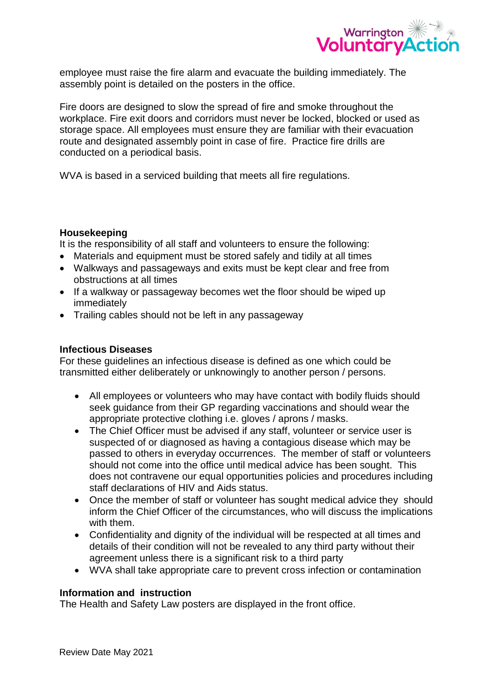

employee must raise the fire alarm and evacuate the building immediately. The assembly point is detailed on the posters in the office.

Fire doors are designed to slow the spread of fire and smoke throughout the workplace. Fire exit doors and corridors must never be locked, blocked or used as storage space. All employees must ensure they are familiar with their evacuation route and designated assembly point in case of fire. Practice fire drills are conducted on a periodical basis.

WVA is based in a serviced building that meets all fire regulations.

### **Housekeeping**

It is the responsibility of all staff and volunteers to ensure the following:

- Materials and equipment must be stored safely and tidily at all times
- Walkways and passageways and exits must be kept clear and free from obstructions at all times
- If a walkway or passageway becomes wet the floor should be wiped up immediately
- Trailing cables should not be left in any passageway

# **Infectious Diseases**

For these guidelines an infectious disease is defined as one which could be transmitted either deliberately or unknowingly to another person / persons.

- All employees or volunteers who may have contact with bodily fluids should seek guidance from their GP regarding vaccinations and should wear the appropriate protective clothing i.e. gloves / aprons / masks.
- The Chief Officer must be advised if any staff, volunteer or service user is suspected of or diagnosed as having a contagious disease which may be passed to others in everyday occurrences. The member of staff or volunteers should not come into the office until medical advice has been sought. This does not contravene our equal opportunities policies and procedures including staff declarations of HIV and Aids status.
- Once the member of staff or volunteer has sought medical advice they should inform the Chief Officer of the circumstances, who will discuss the implications with them.
- Confidentiality and dignity of the individual will be respected at all times and details of their condition will not be revealed to any third party without their agreement unless there is a significant risk to a third party
- WVA shall take appropriate care to prevent cross infection or contamination

# **Information and instruction**

The Health and Safety Law posters are displayed in the front office.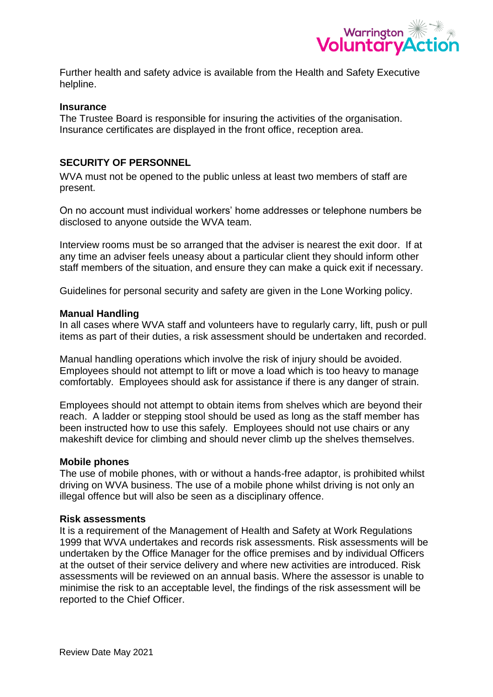

Further health and safety advice is available from the Health and Safety Executive helpline.

#### **Insurance**

The Trustee Board is responsible for insuring the activities of the organisation. Insurance certificates are displayed in the front office, reception area.

### **SECURITY OF PERSONNEL**

WVA must not be opened to the public unless at least two members of staff are present.

On no account must individual workers' home addresses or telephone numbers be disclosed to anyone outside the WVA team.

Interview rooms must be so arranged that the adviser is nearest the exit door. If at any time an adviser feels uneasy about a particular client they should inform other staff members of the situation, and ensure they can make a quick exit if necessary.

Guidelines for personal security and safety are given in the Lone Working policy.

#### **Manual Handling**

In all cases where WVA staff and volunteers have to regularly carry, lift, push or pull items as part of their duties, a risk assessment should be undertaken and recorded.

Manual handling operations which involve the risk of injury should be avoided. Employees should not attempt to lift or move a load which is too heavy to manage comfortably. Employees should ask for assistance if there is any danger of strain.

Employees should not attempt to obtain items from shelves which are beyond their reach. A ladder or stepping stool should be used as long as the staff member has been instructed how to use this safely. Employees should not use chairs or any makeshift device for climbing and should never climb up the shelves themselves.

#### **Mobile phones**

The use of mobile phones, with or without a hands-free adaptor, is prohibited whilst driving on WVA business. The use of a mobile phone whilst driving is not only an illegal offence but will also be seen as a disciplinary offence.

### **Risk assessments**

It is a requirement of the Management of Health and Safety at Work Regulations 1999 that WVA undertakes and records risk assessments. Risk assessments will be undertaken by the Office Manager for the office premises and by individual Officers at the outset of their service delivery and where new activities are introduced. Risk assessments will be reviewed on an annual basis. Where the assessor is unable to minimise the risk to an acceptable level, the findings of the risk assessment will be reported to the Chief Officer.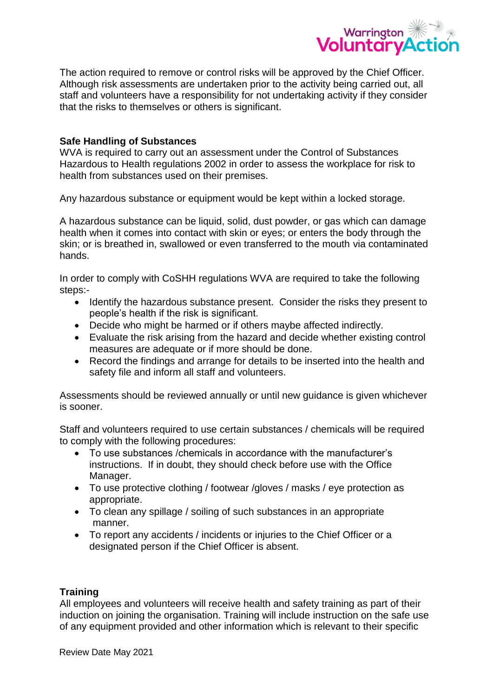

The action required to remove or control risks will be approved by the Chief Officer. Although risk assessments are undertaken prior to the activity being carried out, all staff and volunteers have a responsibility for not undertaking activity if they consider that the risks to themselves or others is significant.

# **Safe Handling of Substances**

WVA is required to carry out an assessment under the Control of Substances Hazardous to Health regulations 2002 in order to assess the workplace for risk to health from substances used on their premises.

Any hazardous substance or equipment would be kept within a locked storage.

A hazardous substance can be liquid, solid, dust powder, or gas which can damage health when it comes into contact with skin or eyes; or enters the body through the skin; or is breathed in, swallowed or even transferred to the mouth via contaminated hands.

In order to comply with CoSHH regulations WVA are required to take the following steps:-

- Identify the hazardous substance present. Consider the risks they present to people's health if the risk is significant.
- Decide who might be harmed or if others maybe affected indirectly.
- Evaluate the risk arising from the hazard and decide whether existing control measures are adequate or if more should be done.
- Record the findings and arrange for details to be inserted into the health and safety file and inform all staff and volunteers.

Assessments should be reviewed annually or until new guidance is given whichever is sooner.

Staff and volunteers required to use certain substances / chemicals will be required to comply with the following procedures:

- To use substances /chemicals in accordance with the manufacturer's instructions. If in doubt, they should check before use with the Office Manager.
- To use protective clothing / footwear /gloves / masks / eye protection as appropriate.
- To clean any spillage / soiling of such substances in an appropriate manner.
- To report any accidents / incidents or injuries to the Chief Officer or a designated person if the Chief Officer is absent.

# **Training**

All employees and volunteers will receive health and safety training as part of their induction on joining the organisation. Training will include instruction on the safe use of any equipment provided and other information which is relevant to their specific